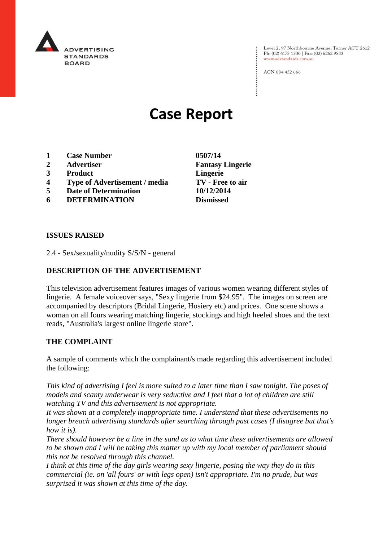

Level 2, 97 Northbourne Avenue, Turner ACT 2612 Ph: (02) 6173 1500 | Fax: (02) 6262 9833 www.adstandards.com.au

ACN 084 452 666

# **Case Report**

- **1 Case Number 0507/14**
- **2 Advertiser Fantasy Lingerie**
- **3 Product Lingerie**
- **4 Type of Advertisement / media TV - Free to air**
- **5 Date of Determination 10/12/2014**
- **6 DETERMINATION Dismissed**

**ISSUES RAISED**

2.4 - Sex/sexuality/nudity S/S/N - general

## **DESCRIPTION OF THE ADVERTISEMENT**

This television advertisement features images of various women wearing different styles of lingerie. A female voiceover says, "Sexy lingerie from \$24.95". The images on screen are accompanied by descriptors (Bridal Lingerie, Hosiery etc) and prices. One scene shows a woman on all fours wearing matching lingerie, stockings and high heeled shoes and the text reads, "Australia's largest online lingerie store".

## **THE COMPLAINT**

A sample of comments which the complainant/s made regarding this advertisement included the following:

*This kind of advertising I feel is more suited to a later time than I saw tonight. The poses of models and scanty underwear is very seductive and I feel that a lot of children are still watching TV and this advertisement is not appropriate.*

*It was shown at a completely inappropriate time. I understand that these advertisements no longer breach advertising standards after searching through past cases (I disagree but that's how it is).*

*There should however be a line in the sand as to what time these advertisements are allowed to be shown and I will be taking this matter up with my local member of parliament should this not be resolved through this channel.*

*I think at this time of the day girls wearing sexy lingerie, posing the way they do in this commercial (ie. on 'all fours' or with legs open) isn't appropriate. I'm no prude, but was surprised it was shown at this time of the day.*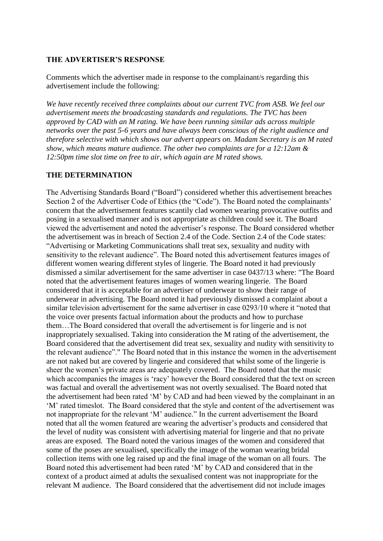### **THE ADVERTISER'S RESPONSE**

Comments which the advertiser made in response to the complainant/s regarding this advertisement include the following:

*We have recently received three complaints about our current TVC from ASB. We feel our advertisement meets the broadcasting standards and regulations. The TVC has been approved by CAD with an M rating. We have been running similar ads across multiple networks over the past 5-6 years and have always been conscious of the right audience and therefore selective with which shows our advert appears on. Madam Secretary is an M rated show, which means mature audience. The other two complaints are for a 12:12am & 12:50pm time slot time on free to air, which again are M rated shows.* 

### **THE DETERMINATION**

The Advertising Standards Board ("Board") considered whether this advertisement breaches Section 2 of the Advertiser Code of Ethics (the "Code"). The Board noted the complainants' concern that the advertisement features scantily clad women wearing provocative outfits and posing in a sexualised manner and is not appropriate as children could see it. The Board viewed the advertisement and noted the advertiser's response. The Board considered whether the advertisement was in breach of Section 2.4 of the Code. Section 2.4 of the Code states: "Advertising or Marketing Communications shall treat sex, sexuality and nudity with sensitivity to the relevant audience". The Board noted this advertisement features images of different women wearing different styles of lingerie. The Board noted it had previously dismissed a similar advertisement for the same advertiser in case 0437/13 where: "The Board noted that the advertisement features images of women wearing lingerie. The Board considered that it is acceptable for an advertiser of underwear to show their range of underwear in advertising. The Board noted it had previously dismissed a complaint about a similar television advertisement for the same advertiser in case 0293/10 where it "noted that the voice over presents factual information about the products and how to purchase them…The Board considered that overall the advertisement is for lingerie and is not inappropriately sexualised. Taking into consideration the M rating of the advertisement, the Board considered that the advertisement did treat sex, sexuality and nudity with sensitivity to the relevant audience"." The Board noted that in this instance the women in the advertisement are not naked but are covered by lingerie and considered that whilst some of the lingerie is sheer the women's private areas are adequately covered. The Board noted that the music which accompanies the images is 'racy' however the Board considered that the text on screen was factual and overall the advertisement was not overtly sexualised. The Board noted that the advertisement had been rated 'M' by CAD and had been viewed by the complainant in an 'M' rated timeslot. The Board considered that the style and content of the advertisement was not inappropriate for the relevant 'M' audience." In the current advertisement the Board noted that all the women featured are wearing the advertiser's products and considered that the level of nudity was consistent with advertising material for lingerie and that no private areas are exposed. The Board noted the various images of the women and considered that some of the poses are sexualised, specifically the image of the woman wearing bridal collection items with one leg raised up and the final image of the woman on all fours. The Board noted this advertisement had been rated 'M' by CAD and considered that in the context of a product aimed at adults the sexualised content was not inappropriate for the relevant M audience. The Board considered that the advertisement did not include images